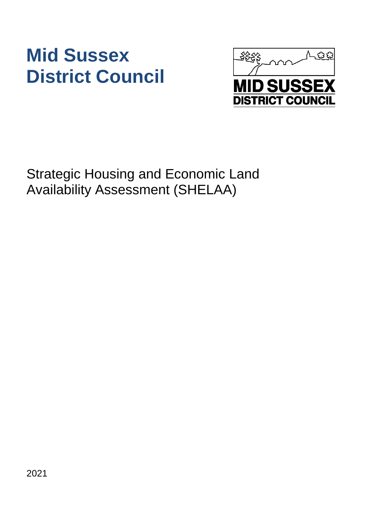# **Mid Sussex District Council**



Strategic Housing and Economic Land Availability Assessment (SHELAA)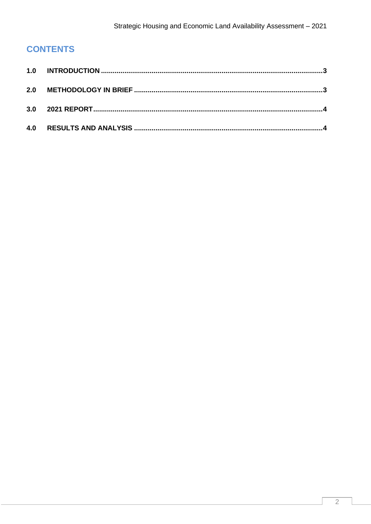## **CONTENTS**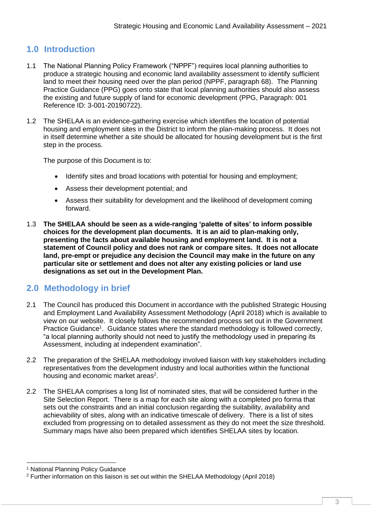### <span id="page-3-0"></span>**1.0 Introduction**

- 1.1 The National Planning Policy Framework ("NPPF") requires local planning authorities to produce a strategic housing and economic land availability assessment to identify sufficient land to meet their housing need over the plan period (NPPF, paragraph 68). The Planning Practice Guidance (PPG) goes onto state that local planning authorities should also assess the existing and future supply of land for economic development (PPG, Paragraph: 001 Reference ID: 3-001-20190722).
- 1.2 The SHELAA is an evidence-gathering exercise which identifies the location of potential housing and employment sites in the District to inform the plan-making process. It does not in itself determine whether a site should be allocated for housing development but is the first step in the process.

The purpose of this Document is to:

- Identify sites and broad locations with potential for housing and employment;
- Assess their development potential; and
- Assess their suitability for development and the likelihood of development coming forward.
- 1.3 **The SHELAA should be seen as a wide-ranging 'palette of sites' to inform possible choices for the development plan documents. It is an aid to plan-making only, presenting the facts about available housing and employment land. It is not a statement of Council policy and does not rank or compare sites. It does not allocate land, pre-empt or prejudice any decision the Council may make in the future on any particular site or settlement and does not alter any existing policies or land use designations as set out in the Development Plan.**

#### <span id="page-3-1"></span>**2.0 Methodology in brief**

- 2.1 The Council has produced this Document in accordance with the published Strategic Housing and Employment Land Availability Assessment Methodology (April 2018) which is available to view on our website. It closely follows the recommended process set out in the Government Practice Guidance<sup>1</sup>. Guidance states where the standard methodology is followed correctly, "a local planning authority should not need to justify the methodology used in preparing its Assessment, including at independent examination".
- 2.2 The preparation of the SHELAA methodology involved liaison with key stakeholders including representatives from the development industry and local authorities within the functional housing and economic market areas<sup>2</sup>.
- 2.2 The SHELAA comprises a long list of nominated sites, that will be considered further in the Site Selection Report. There is a map for each site along with a completed pro forma that sets out the constraints and an initial conclusion regarding the suitability, availability and achievability of sites, along with an indicative timescale of delivery. There is a list of sites excluded from progressing on to detailed assessment as they do not meet the size threshold. Summary maps have also been prepared which identifies SHELAA sites by location.

<sup>&</sup>lt;sup>1</sup> National Planning Policy Guidance

<sup>2</sup> Further information on this liaison is set out within the SHELAA Methodology (April 2018)